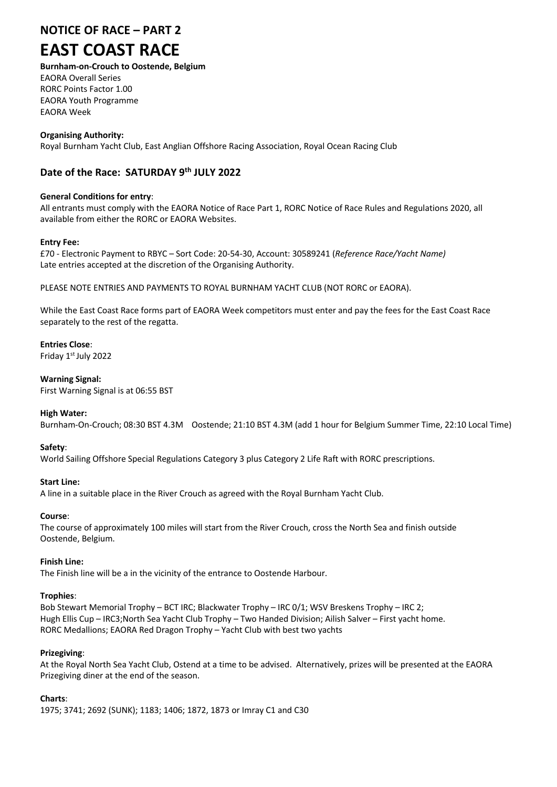# **NOTICE OF RACE – PART 2**

# **EAST COAST RACE**

# **Burnham-on-Crouch to Oostende, Belgium**

EAORA Overall Series RORC Points Factor 1.00 EAORA Youth Programme EAORA Week

# **Organising Authority:**

Royal Burnham Yacht Club, East Anglian Offshore Racing Association, Royal Ocean Racing Club

# **Date of the Race: SATURDAY 9th JULY 2022**

### **General Conditions for entry**:

All entrants must comply with the EAORA Notice of Race Part 1, RORC Notice of Race Rules and Regulations 2020, all available from either the RORC or EAORA Websites.

#### **Entry Fee:**

£70 - Electronic Payment to RBYC – Sort Code: 20-54-30, Account: 30589241 (*Reference Race/Yacht Name)* Late entries accepted at the discretion of the Organising Authority.

PLEASE NOTE ENTRIES AND PAYMENTS TO ROYAL BURNHAM YACHT CLUB (NOT RORC or EAORA).

While the East Coast Race forms part of EAORA Week competitors must enter and pay the fees for the East Coast Race separately to the rest of the regatta.

# **Entries Close**:

Friday 1st July 2022

#### **Warning Signal:**

First Warning Signal is at 06:55 BST

#### **High Water:**

Burnham-On-Crouch; 08:30 BST 4.3M Oostende; 21:10 BST 4.3M (add 1 hour for Belgium Summer Time, 22:10 Local Time)

#### **Safety**:

World Sailing Offshore Special Regulations Category 3 plus Category 2 Life Raft with RORC prescriptions.

# **Start Line:**

A line in a suitable place in the River Crouch as agreed with the Royal Burnham Yacht Club.

#### **Course**:

The course of approximately 100 miles will start from the River Crouch, cross the North Sea and finish outside Oostende, Belgium.

#### **Finish Line:**

The Finish line will be a in the vicinity of the entrance to Oostende Harbour.

# **Trophies**:

Bob Stewart Memorial Trophy – BCT IRC; Blackwater Trophy – IRC 0/1; WSV Breskens Trophy – IRC 2; Hugh Ellis Cup – IRC3;North Sea Yacht Club Trophy – Two Handed Division; Ailish Salver – First yacht home. RORC Medallions; EAORA Red Dragon Trophy – Yacht Club with best two yachts

# **Prizegiving**:

At the Royal North Sea Yacht Club, Ostend at a time to be advised. Alternatively, prizes will be presented at the EAORA Prizegiving diner at the end of the season.

# **Charts**:

1975; 3741; 2692 (SUNK); 1183; 1406; 1872, 1873 or Imray C1 and C30